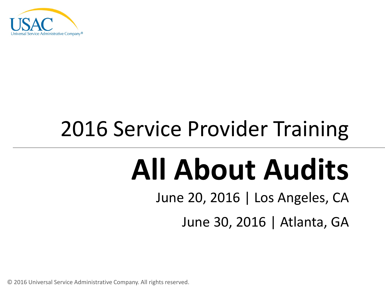

## 2016 Service Provider Training

# **All About Audits**

June 20, 2016 | Los Angeles, CA

June 30, 2016 | Atlanta, GA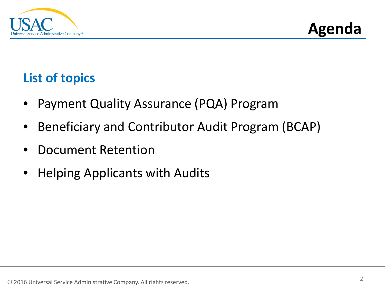



#### **List of topics**

- Payment Quality Assurance (PQA) Program
- Beneficiary and Contributor Audit Program (BCAP)
- Document Retention
- Helping Applicants with Audits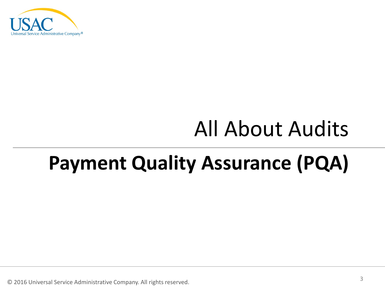

### All About Audits

### **Payment Quality Assurance (PQA)**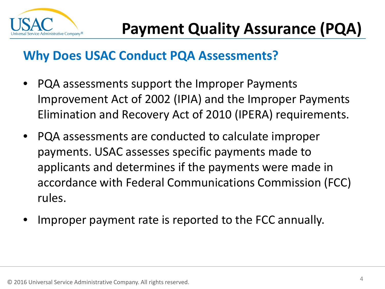

#### **Why Does USAC Conduct PQA Assessments?**

- PQA assessments support the Improper Payments Improvement Act of 2002 (IPIA) and the Improper Payments Elimination and Recovery Act of 2010 (IPERA) requirements.
- PQA assessments are conducted to calculate improper payments. USAC assesses specific payments made to applicants and determines if the payments were made in accordance with Federal Communications Commission (FCC) rules.
- Improper payment rate is reported to the FCC annually.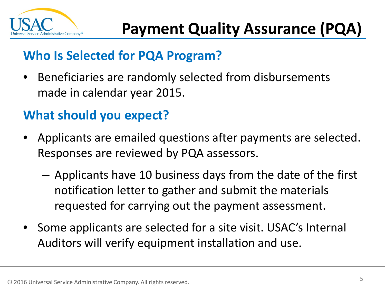

#### **Who Is Selected for PQA Program?**

• Beneficiaries are randomly selected from disbursements made in calendar year 2015.

#### **What should you expect?**

- Applicants are emailed questions after payments are selected. Responses are reviewed by PQA assessors.
	- Applicants have 10 business days from the date of the first notification letter to gather and submit the materials requested for carrying out the payment assessment.
- Some applicants are selected for a site visit. USAC's Internal Auditors will verify equipment installation and use.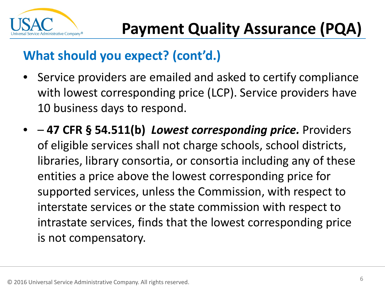

#### **What should you expect? (cont'd.)**

- Service providers are emailed and asked to certify compliance with lowest corresponding price (LCP). Service providers have 10 business days to respond.
- – **47 CFR § 54.511(b)** *Lowest corresponding price.* Providers of eligible services shall not charge schools, school districts, libraries, library consortia, or consortia including any of these entities a price above the lowest corresponding price for supported services, unless the Commission, with respect to interstate services or the state commission with respect to intrastate services, finds that the lowest corresponding price is not compensatory.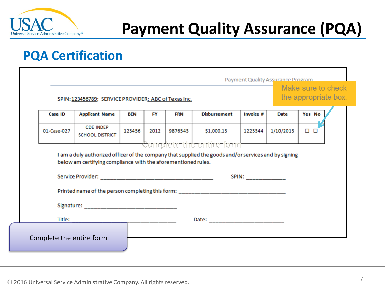

#### **PQA Certification**

|                                                               | SPIN: 123456789; SERVICE PROVIDER: ABC of Texas Inc.                             |            |      |            |                                          |                  |             | Make sure to check<br>the appropriate box. |
|---------------------------------------------------------------|----------------------------------------------------------------------------------|------------|------|------------|------------------------------------------|------------------|-------------|--------------------------------------------|
| <b>Case ID</b>                                                | <b>Applicant Name</b>                                                            | <b>BEN</b> | FY   | <b>FRN</b> | <b>Disbursement</b>                      | <b>Invoice #</b> | <b>Date</b> | Yes No                                     |
| 01-Case-027                                                   | <b>CDE INDEP</b><br><b>SCHOOL DISTRICT</b>                                       | 123456     | 2012 | 9876543    | \$1,000.13<br>- Complete the entire form | 1223344          | 1/10/2013   | $\Box$ $\Box$                              |
| below am certifying compliance with the aforementioned rules. |                                                                                  |            |      |            | <b>SPIN:</b> ______________              |                  |             |                                            |
|                                                               | Printed name of the person completing this form: _______________________________ |            |      |            |                                          |                  |             |                                            |
|                                                               |                                                                                  |            |      |            |                                          |                  |             |                                            |
|                                                               |                                                                                  |            |      |            |                                          |                  |             |                                            |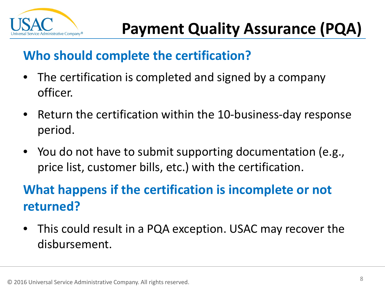

#### **Who should complete the certification?**

- The certification is completed and signed by a company officer.
- Return the certification within the 10-business-day response period.
- You do not have to submit supporting documentation (e.g., price list, customer bills, etc.) with the certification.

#### **What happens if the certification is incomplete or not returned?**

• This could result in a PQA exception. USAC may recover the disbursement.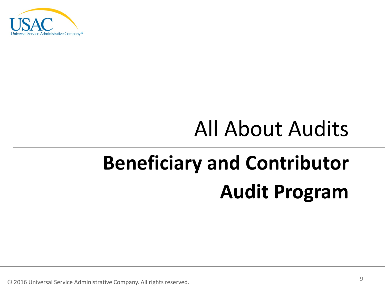

### All About Audits

## **Beneficiary and Contributor Audit Program**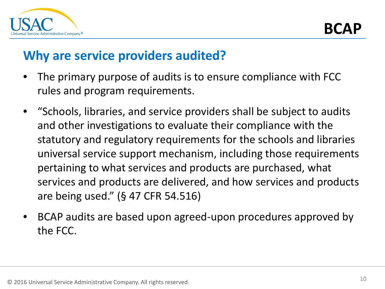

#### **Why are service providers audited?**

- The primary purpose of audits is to ensure compliance with FCC rules and program requirements.
- "Schools, libraries, and service providers shall be subject to audits and other investigations to evaluate their compliance with the statutory and regulatory requirements for the schools and libraries universal service support mechanism, including those requirements pertaining to what services and products are purchased, what services and products are delivered, and how services and products are being used." (§ 47 CFR 54.516)
- BCAP audits are based upon agreed-upon procedures approved by the FCC.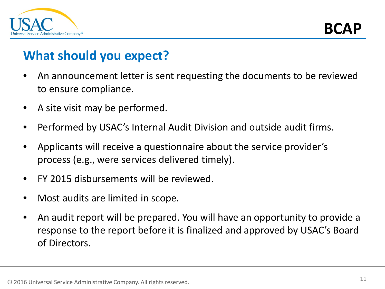

**BCA** 

#### **What should you expect?**

- An announcement letter is sent requesting the documents to be reviewed to ensure compliance.
- A site visit may be performed.
- Performed by USAC's Internal Audit Division and outside audit firms.
- Applicants will receive a questionnaire about the service provider's process (e.g., were services delivered timely).
- FY 2015 disbursements will be reviewed.
- Most audits are limited in scope.
- An audit report will be prepared. You will have an opportunity to provide a response to the report before it is finalized and approved by USAC's Board of Directors.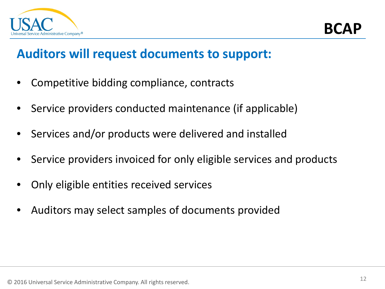

#### **Auditors will request documents to support:**

- Competitive bidding compliance, contracts
- Service providers conducted maintenance (if applicable)
- Services and/or products were delivered and installed
- Service providers invoiced for only eligible services and products
- Only eligible entities received services
- Auditors may select samples of documents provided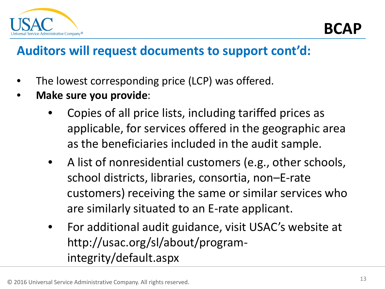

#### **Auditors will request documents to support cont'd:**

- The lowest corresponding price (LCP) was offered.
- **Make sure you provide**:
	- Copies of all price lists, including tariffed prices as applicable, for services offered in the geographic area as the beneficiaries included in the audit sample.
	- A list of nonresidential customers (e.g., other schools, school districts, libraries, consortia, non–E-rate customers) receiving the same or similar services who are similarly situated to an E-rate applicant.
	- For additional audit guidance, visit USAC's website at http://usac.org/sl/about/programintegrity/default.aspx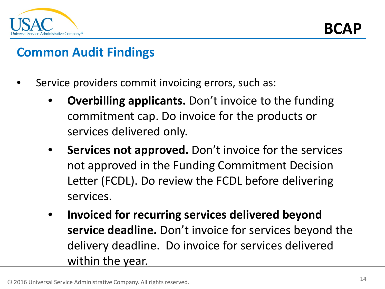

#### **Common Audit Findings**

- Service providers commit invoicing errors, such as:
	- **Overbilling applicants.** Don't invoice to the funding commitment cap. Do invoice for the products or services delivered only.
	- Services not approved. Don't invoice for the services not approved in the Funding Commitment Decision Letter (FCDL). Do review the FCDL before delivering services.
	- **Invoiced for recurring services delivered beyond service deadline.** Don't invoice for services beyond the delivery deadline. Do invoice for services delivered within the year.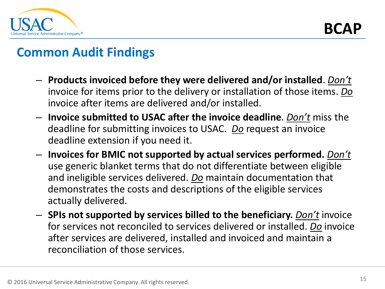

#### **Common Audit Findings**

- **Products invoiced before they were delivered and/or installed**. *Don't* invoice for items prior to the delivery or installation of those items. *Do* invoice after items are delivered and/or installed.
- **Invoice submitted to USAC after the invoice deadline**. *Don't* miss the deadline for submitting invoices to USAC. *Do* request an invoice deadline extension if you need it.
- **Invoices for BMIC not supported by actual services performed.** *Don't* use generic blanket terms that do not differentiate between eligible and ineligible services delivered. *Do* maintain documentation that demonstrates the costs and descriptions of the eligible services actually delivered.
- **SPIs not supported by services billed to the beneficiary.** *Don't* invoice for services not reconciled to services delivered or installed. *Do* invoice after services are delivered, installed and invoiced and maintain a reconciliation of those services.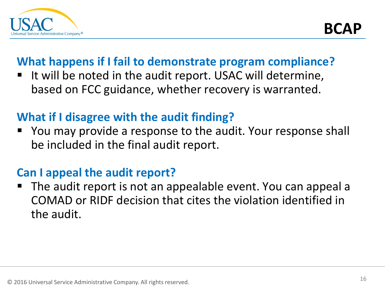

#### **What happens if I fail to demonstrate program compliance?**

 It will be noted in the audit report. USAC will determine, based on FCC guidance, whether recovery is warranted.

#### **What if I disagree with the audit finding?**

 You may provide a response to the audit. Your response shall be included in the final audit report.

#### **Can I appeal the audit report?**

 The audit report is not an appealable event. You can appeal a COMAD or RIDF decision that cites the violation identified in the audit.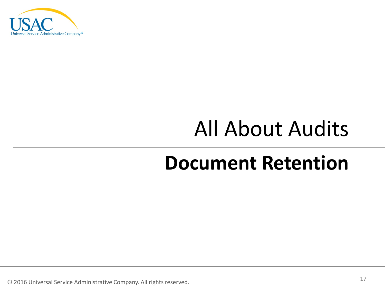

### All About Audits

### **Document Retention**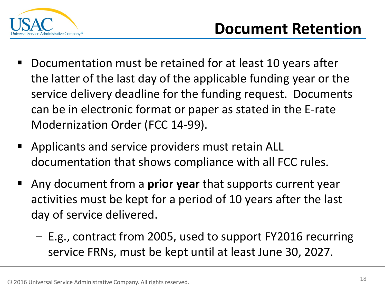

- Documentation must be retained for at least 10 years after the latter of the last day of the applicable funding year or the service delivery deadline for the funding request. Documents can be in electronic format or paper as stated in the E-rate Modernization Order (FCC 14-99).
- Applicants and service providers must retain ALL documentation that shows compliance with all FCC rules.
- Any document from a **prior year** that supports current year activities must be kept for a period of 10 years after the last day of service delivered.
	- E.g., contract from 2005, used to support FY2016 recurring service FRNs, must be kept until at least June 30, 2027.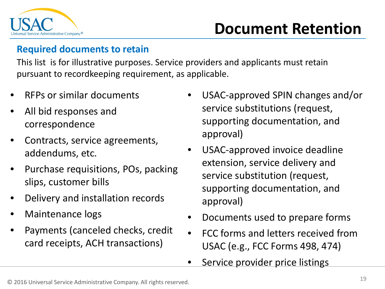

### **Document Retention**

#### **Required documents to retain**

This list is for illustrative purposes. Service providers and applicants must retain pursuant to recordkeeping requirement, as applicable.

- RFPs or similar documents
- All bid responses and correspondence
- Contracts, service agreements, addendums, etc.
- Purchase requisitions, POs, packing slips, customer bills
- Delivery and installation records
- Maintenance logs
- Payments (canceled checks, credit card receipts, ACH transactions)
- USAC-approved SPIN changes and/or service substitutions (request, supporting documentation, and approval)
- USAC-approved invoice deadline extension, service delivery and service substitution (request, supporting documentation, and approval)
- Documents used to prepare forms
- FCC forms and letters received from USAC (e.g., FCC Forms 498, 474)
- Service provider price listings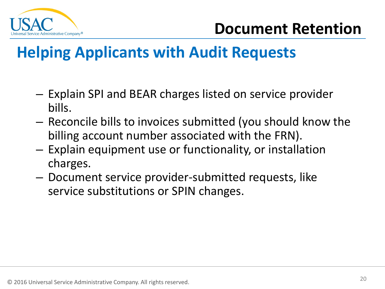

### **Helping Applicants with Audit Requests**

- Explain SPI and BEAR charges listed on service provider bills.
- Reconcile bills to invoices submitted (you should know the billing account number associated with the FRN).
- Explain equipment use or functionality, or installation charges.
- Document service provider-submitted requests, like service substitutions or SPIN changes.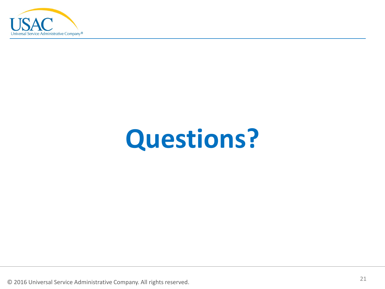

## **Questions?**